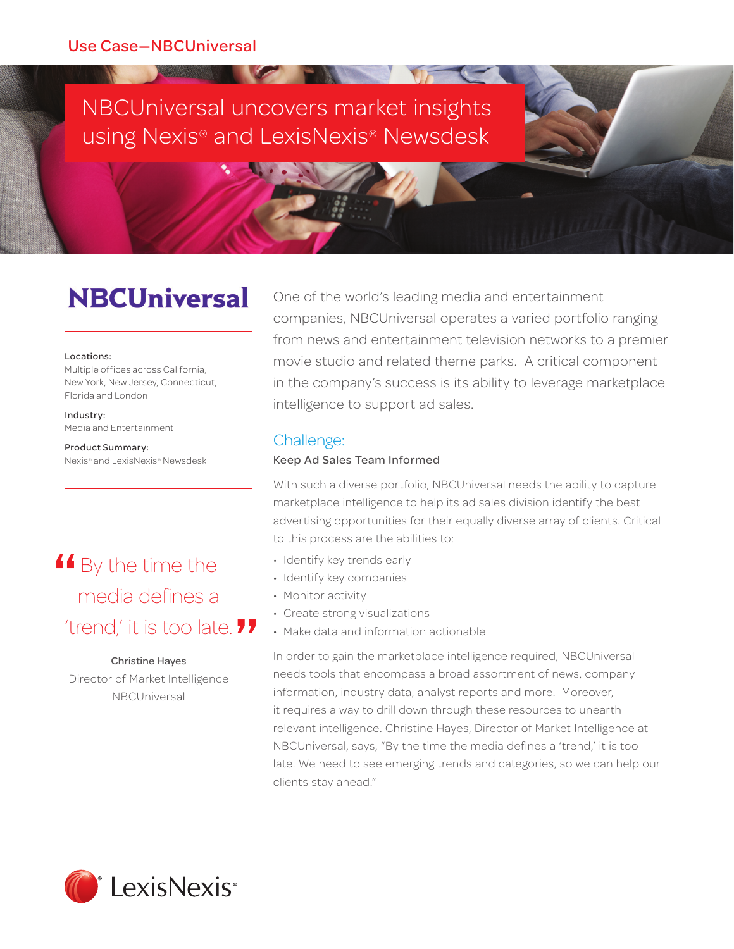### NBCUniversal uncovers market insights using Nexis® and LexisNexis® Newsdesk

**ARRESTS MANAGERY AND ARRESTS AND ARRESTS AND ARRESTS AND ARRESTS AND ARRESTS AND ARRESTS AND ARRESTS AND ARRESTS AND ARRESTS AND ARRESTS AND ARRESTS AND ARRESTS AND ARRESTS AND ARRESTS AND ARRESTS AND ARRESTS AND ARRESTS** 

## **NBCUniversal**

#### Locations:

Multiple offices across California, New York, New Jersey, Connecticut, Florida and London

Industry: Media and Entertainment

Product Summary: Nexis® and LexisNexis® Newsdesk

# **4** By the time the media defines a media defines a 'trend,' it is too late. **"**

#### Christine Hayes

Director of Market Intelligence NBCUniversal

One of the world's leading media and entertainment companies, NBCUniversal operates a varied portfolio ranging from news and entertainment television networks to a premier movie studio and related theme parks. A critical component in the company's success is its ability to leverage marketplace intelligence to support ad sales.

#### Challenge:

#### Keep Ad Sales Team Informed

With such a diverse portfolio, NBCUniversal needs the ability to capture marketplace intelligence to help its ad sales division identify the best advertising opportunities for their equally diverse array of clients. Critical to this process are the abilities to:

- Identify key trends early
- Identify key companies
- Monitor activity
- Create strong visualizations
- Make data and information actionable

In order to gain the marketplace intelligence required, NBCUniversal needs tools that encompass a broad assortment of news, company information, industry data, analyst reports and more. Moreover, it requires a way to drill down through these resources to unearth relevant intelligence. Christine Hayes, Director of Market Intelligence at NBCUniversal, says, "By the time the media defines a 'trend,' it is too late. We need to see emerging trends and categories, so we can help our clients stay ahead."